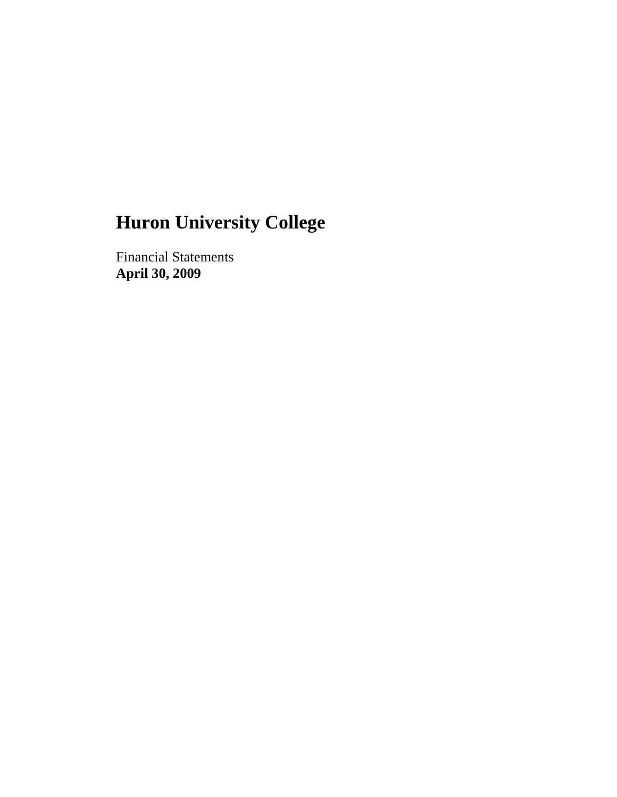Financial Statements **April 30, 2009**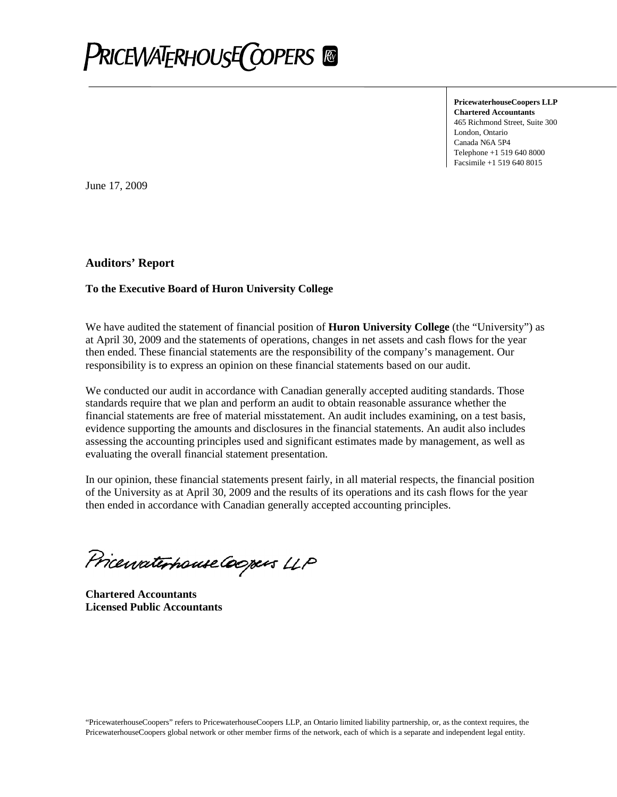

**PricewaterhouseCoopers LLP Chartered Accountants** 465 Richmond Street, Suite 300 London, Ontario Canada N6A 5P4 Telephone +1 519 640 8000 Facsimile +1 519 640 8015

June 17, 2009

#### **Auditors' Report**

#### **To the Executive Board of Huron University College**

We have audited the statement of financial position of **Huron University College** (the "University") as at April 30, 2009 and the statements of operations, changes in net assets and cash flows for the year then ended. These financial statements are the responsibility of the company's management. Our responsibility is to express an opinion on these financial statements based on our audit.

We conducted our audit in accordance with Canadian generally accepted auditing standards. Those standards require that we plan and perform an audit to obtain reasonable assurance whether the financial statements are free of material misstatement. An audit includes examining, on a test basis, evidence supporting the amounts and disclosures in the financial statements. An audit also includes assessing the accounting principles used and significant estimates made by management, as well as evaluating the overall financial statement presentation.

In our opinion, these financial statements present fairly, in all material respects, the financial position of the University as at April 30, 2009 and the results of its operations and its cash flows for the year then ended in accordance with Canadian generally accepted accounting principles.

Pricewaterhouse Coopers LLP

**Chartered Accountants Licensed Public Accountants**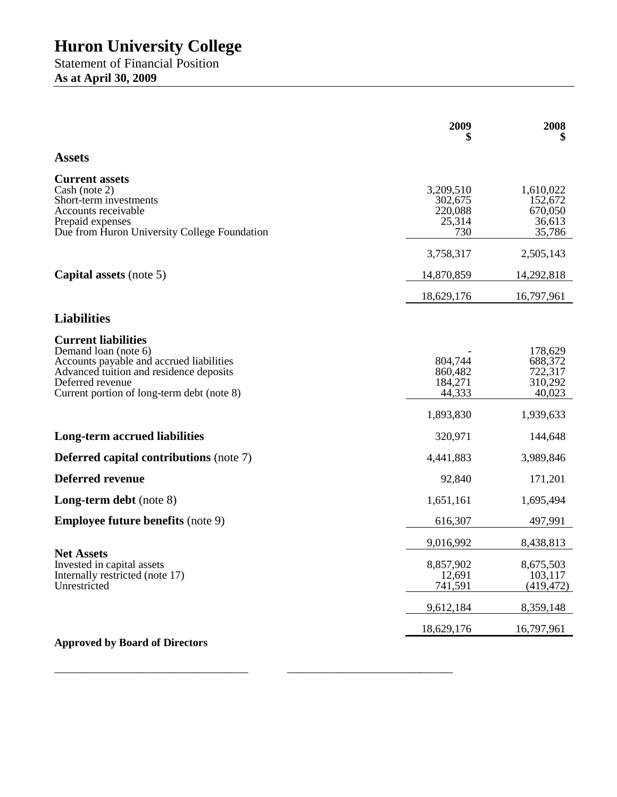Statement of Financial Position **As at April 30, 2009**

|                                                                                                                                                                                                             | 2009                                                 | 2008                                                            |
|-------------------------------------------------------------------------------------------------------------------------------------------------------------------------------------------------------------|------------------------------------------------------|-----------------------------------------------------------------|
| <b>Assets</b>                                                                                                                                                                                               |                                                      |                                                                 |
| <b>Current assets</b><br>Cash (note 2)<br>Short-term investments<br>Accounts receivable<br>Prepaid expenses<br>Due from Huron University College Foundation                                                 | 3,209,510<br>302,675<br>220,088<br>25,314<br>730     | 1,610,022<br>152,672<br>670,050<br>36,613<br>35,786             |
|                                                                                                                                                                                                             | 3,758,317                                            | 2,505,143                                                       |
| <b>Capital assets</b> (note 5)                                                                                                                                                                              | 14,870,859                                           | 14,292,818                                                      |
|                                                                                                                                                                                                             | 18,629,176                                           | 16,797,961                                                      |
| <b>Liabilities</b>                                                                                                                                                                                          |                                                      |                                                                 |
| <b>Current liabilities</b><br>Demand loan (note 6)<br>Accounts payable and accrued liabilities<br>Advanced tuition and residence deposits<br>Deferred revenue<br>Current portion of long-term debt (note 8) | 804,744<br>860,482<br>184,271<br>44,333<br>1,893,830 | 178,629<br>688,372<br>722,317<br>310,292<br>40,023<br>1,939,633 |
| <b>Long-term accrued liabilities</b>                                                                                                                                                                        | 320,971                                              | 144,648                                                         |
| <b>Deferred capital contributions (note 7)</b>                                                                                                                                                              | 4,441,883                                            | 3,989,846                                                       |
| <b>Deferred revenue</b>                                                                                                                                                                                     | 92,840                                               | 171,201                                                         |
| <b>Long-term debt</b> (note 8)                                                                                                                                                                              | 1,651,161                                            | 1,695,494                                                       |
| <b>Employee future benefits (note 9)</b>                                                                                                                                                                    | 616,307                                              | 497,991                                                         |
|                                                                                                                                                                                                             | 9,016,992                                            | 8,438,813                                                       |
| <b>Net Assets</b><br>Invested in capital assets<br>Internally restricted (note 17)<br>Unrestricted                                                                                                          | 8,857,902<br>12,691<br>741,591                       | 8,675,503<br>103,117<br>(419, 472)                              |
|                                                                                                                                                                                                             | 9,612,184                                            | 8,359,148                                                       |
|                                                                                                                                                                                                             | 18,629,176                                           | 16,797,961                                                      |
| <b>Approved by Board of Directors</b>                                                                                                                                                                       |                                                      |                                                                 |

\_\_\_\_\_\_\_\_\_\_\_\_\_\_\_\_\_\_\_\_\_\_\_\_\_\_\_\_\_\_\_\_\_\_\_ \_\_\_\_\_\_\_\_\_\_\_\_\_\_\_\_\_\_\_\_\_\_\_\_\_\_\_\_\_\_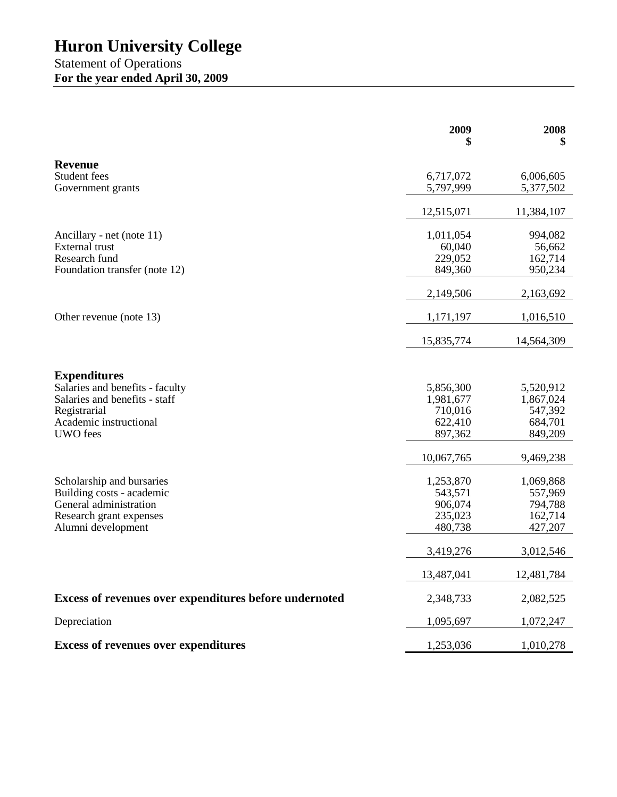Statement of Operations **For the year ended April 30, 2009**

|                                                        | 2009<br>5          | 2008<br>\$         |
|--------------------------------------------------------|--------------------|--------------------|
|                                                        |                    |                    |
| <b>Revenue</b><br>Student fees                         | 6,717,072          | 6,006,605          |
| Government grants                                      | 5,797,999          | 5,377,502          |
|                                                        | 12,515,071         | 11,384,107         |
| Ancillary - net (note 11)                              | 1,011,054          | 994,082            |
| <b>External</b> trust                                  | 60,040             | 56,662             |
| Research fund                                          | 229,052            | 162,714            |
| Foundation transfer (note 12)                          | 849,360            | 950,234            |
|                                                        | 2,149,506          | 2,163,692          |
| Other revenue (note 13)                                | 1,171,197          | 1,016,510          |
|                                                        | 15,835,774         | 14,564,309         |
|                                                        |                    |                    |
| <b>Expenditures</b>                                    |                    |                    |
| Salaries and benefits - faculty                        | 5,856,300          | 5,520,912          |
| Salaries and benefits - staff                          | 1,981,677          | 1,867,024          |
| Registrarial                                           | 710,016            | 547,392            |
| Academic instructional<br><b>UWO</b> fees              | 622,410<br>897,362 | 684,701<br>849,209 |
|                                                        |                    |                    |
|                                                        | 10,067,765         | 9,469,238          |
| Scholarship and bursaries                              | 1,253,870          | 1,069,868          |
| Building costs - academic                              | 543,571            | 557,969            |
| General administration                                 | 906,074            | 794,788            |
| Research grant expenses                                | 235,023            | 162,714<br>427,207 |
| Alumni development                                     | 480,738            |                    |
|                                                        | 3,419,276          | 3,012,546          |
|                                                        | 13,487,041         | 12,481,784         |
| Excess of revenues over expenditures before undernoted | 2,348,733          | 2,082,525          |
| Depreciation                                           | 1,095,697          | 1,072,247          |
| <b>Excess of revenues over expenditures</b>            | 1,253,036          | 1,010,278          |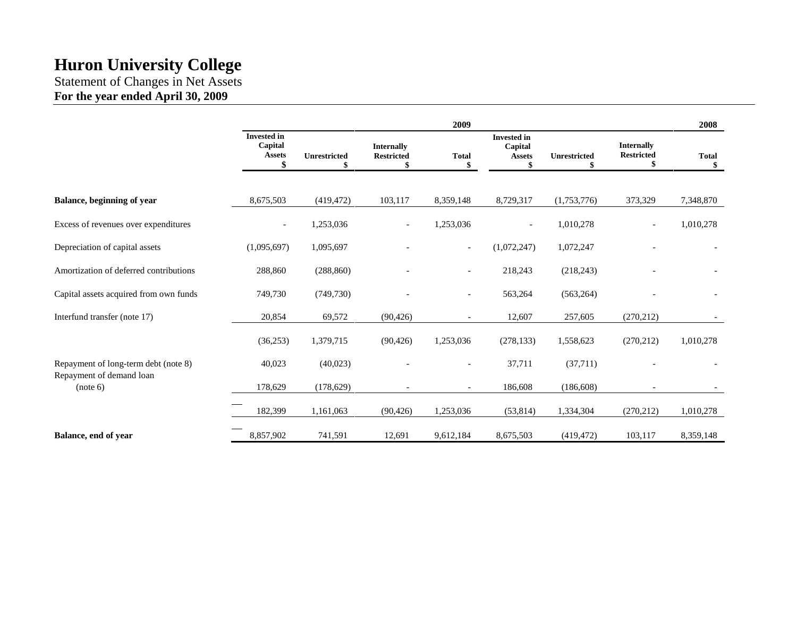Statement of Changes in Net Assets **For the year ended April 30, 2009**

|                                        |                                                      |                           |                                             | 2009                     |                                                      |              |                                             | 2008               |
|----------------------------------------|------------------------------------------------------|---------------------------|---------------------------------------------|--------------------------|------------------------------------------------------|--------------|---------------------------------------------|--------------------|
|                                        | <b>Invested in</b><br>Capital<br><b>Assets</b><br>\$ | <b>Unrestricted</b><br>\$ | <b>Internally</b><br><b>Restricted</b><br>S | <b>Total</b><br>\$       | <b>Invested in</b><br>Capital<br><b>Assets</b><br>\$ | Unrestricted | <b>Internally</b><br><b>Restricted</b><br>S | <b>Total</b><br>\$ |
| Balance, beginning of year             | 8,675,503                                            | (419, 472)                | 103,117                                     | 8,359,148                | 8,729,317                                            | (1,753,776)  | 373,329                                     | 7,348,870          |
| Excess of revenues over expenditures   |                                                      | 1,253,036                 | $\overline{\phantom{a}}$                    | 1,253,036                | $\overline{\phantom{a}}$                             | 1,010,278    | $\qquad \qquad \blacksquare$                | 1,010,278          |
| Depreciation of capital assets         | (1,095,697)                                          | 1,095,697                 |                                             | $\overline{\phantom{a}}$ | (1,072,247)                                          | 1,072,247    |                                             |                    |
| Amortization of deferred contributions | 288,860                                              | (288, 860)                |                                             | $\overline{\phantom{a}}$ | 218,243                                              | (218, 243)   |                                             |                    |
| Capital assets acquired from own funds | 749,730                                              | (749, 730)                |                                             | $\overline{\phantom{a}}$ | 563,264                                              | (563, 264)   |                                             |                    |
| Interfund transfer (note 17)           | 20,854                                               | 69,572                    | (90, 426)                                   | $\overline{\phantom{a}}$ | 12,607                                               | 257,605      | (270, 212)                                  |                    |
|                                        | (36,253)                                             | 1,379,715                 | (90, 426)                                   | 1,253,036                | (278, 133)                                           | 1,558,623    | (270, 212)                                  | 1,010,278          |
| Repayment of long-term debt (note 8)   | 40,023                                               | (40,023)                  |                                             | $\overline{\phantom{a}}$ | 37,711                                               | (37,711)     |                                             |                    |
| Repayment of demand loan<br>(note 6)   | 178,629                                              | (178, 629)                |                                             | $\overline{\phantom{a}}$ | 186,608                                              | (186, 608)   |                                             |                    |
|                                        | 182,399                                              | 1,161,063                 | (90, 426)                                   | 1,253,036                | (53, 814)                                            | 1,334,304    | (270, 212)                                  | 1,010,278          |
| Balance, end of year                   | 8,857,902                                            | 741,591                   | 12,691                                      | 9,612,184                | 8,675,503                                            | (419, 472)   | 103,117                                     | 8,359,148          |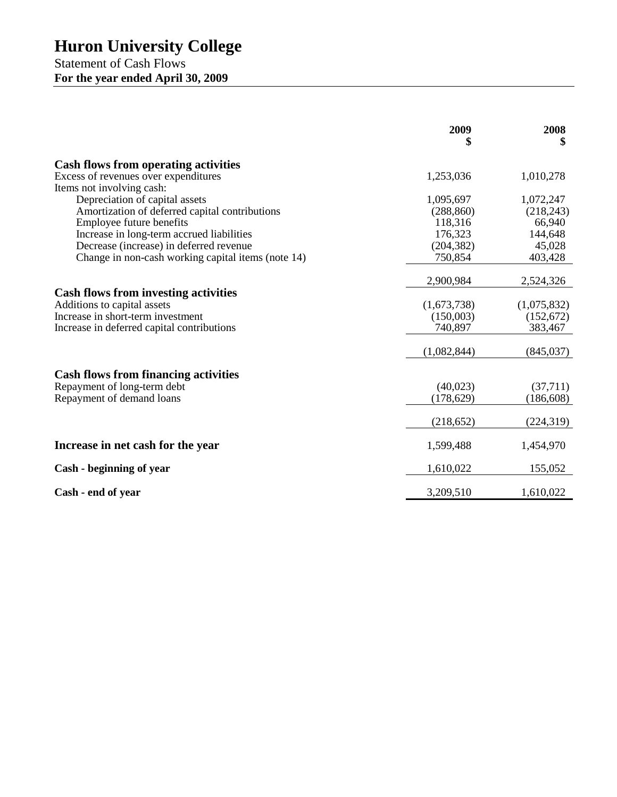Statement of Cash Flows **For the year ended April 30, 2009**

|                                                    | 2009<br>\$  | 2008<br>\$  |
|----------------------------------------------------|-------------|-------------|
| <b>Cash flows from operating activities</b>        |             |             |
| Excess of revenues over expenditures               | 1,253,036   | 1,010,278   |
| Items not involving cash:                          |             |             |
| Depreciation of capital assets                     | 1,095,697   | 1,072,247   |
| Amortization of deferred capital contributions     | (288, 860)  | (218, 243)  |
| Employee future benefits                           | 118,316     | 66,940      |
| Increase in long-term accrued liabilities          | 176,323     | 144,648     |
| Decrease (increase) in deferred revenue            | (204, 382)  | 45,028      |
| Change in non-cash working capital items (note 14) | 750,854     | 403,428     |
|                                                    | 2,900,984   | 2,524,326   |
| <b>Cash flows from investing activities</b>        |             |             |
| Additions to capital assets                        | (1,673,738) | (1,075,832) |
| Increase in short-term investment                  | (150,003)   | (152, 672)  |
| Increase in deferred capital contributions         | 740,897     | 383,467     |
|                                                    | (1,082,844) | (845, 037)  |
| <b>Cash flows from financing activities</b>        |             |             |
| Repayment of long-term debt                        | (40,023)    | (37,711)    |
| Repayment of demand loans                          | (178, 629)  | (186, 608)  |
|                                                    |             |             |
|                                                    | (218, 652)  | (224, 319)  |
| Increase in net cash for the year                  | 1,599,488   | 1,454,970   |
| Cash - beginning of year                           | 1,610,022   | 155,052     |
| Cash - end of year                                 | 3,209,510   | 1,610,022   |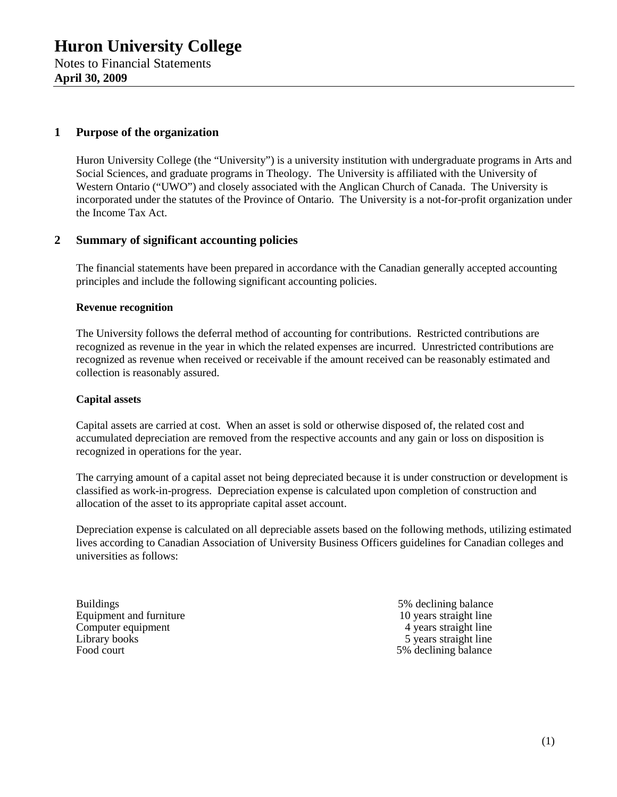## **1 Purpose of the organization**

Huron University College (the "University") is a university institution with undergraduate programs in Arts and Social Sciences, and graduate programs in Theology. The University is affiliated with the University of Western Ontario ("UWO") and closely associated with the Anglican Church of Canada. The University is incorporated under the statutes of the Province of Ontario. The University is a not-for-profit organization under the Income Tax Act.

### **2 Summary of significant accounting policies**

The financial statements have been prepared in accordance with the Canadian generally accepted accounting principles and include the following significant accounting policies.

### **Revenue recognition**

The University follows the deferral method of accounting for contributions. Restricted contributions are recognized as revenue in the year in which the related expenses are incurred. Unrestricted contributions are recognized as revenue when received or receivable if the amount received can be reasonably estimated and collection is reasonably assured.

#### **Capital assets**

Capital assets are carried at cost. When an asset is sold or otherwise disposed of, the related cost and accumulated depreciation are removed from the respective accounts and any gain or loss on disposition is recognized in operations for the year.

The carrying amount of a capital asset not being depreciated because it is under construction or development is classified as work-in-progress. Depreciation expense is calculated upon completion of construction and allocation of the asset to its appropriate capital asset account.

Depreciation expense is calculated on all depreciable assets based on the following methods, utilizing estimated lives according to Canadian Association of University Business Officers guidelines for Canadian colleges and universities as follows:

Buildings 5% declining balance<br>Equipment and furniture 10 years straight line Equipment and furniture 10 years straight line<br>
Computer equipment<br>  $\frac{10 \text{ years straight line}}{4 \text{ years straight line}}$ Computer equipment Library books the straight line of the straight line of the straight line Food court 5% declining balance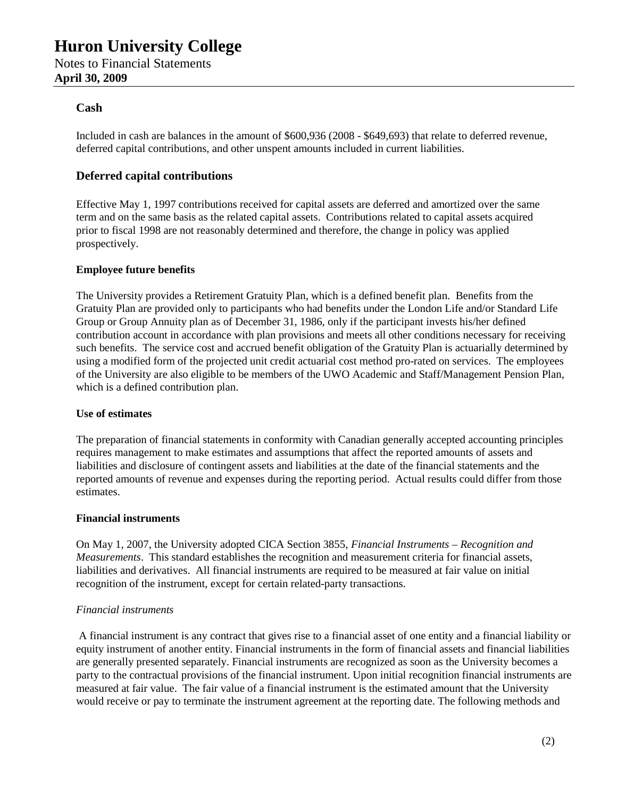## **Cash**

Included in cash are balances in the amount of \$600,936 (2008 - \$649,693) that relate to deferred revenue, deferred capital contributions, and other unspent amounts included in current liabilities.

## **Deferred capital contributions**

Effective May 1, 1997 contributions received for capital assets are deferred and amortized over the same term and on the same basis as the related capital assets. Contributions related to capital assets acquired prior to fiscal 1998 are not reasonably determined and therefore, the change in policy was applied prospectively.

### **Employee future benefits**

The University provides a Retirement Gratuity Plan, which is a defined benefit plan. Benefits from the Gratuity Plan are provided only to participants who had benefits under the London Life and/or Standard Life Group or Group Annuity plan as of December 31, 1986, only if the participant invests his/her defined contribution account in accordance with plan provisions and meets all other conditions necessary for receiving such benefits. The service cost and accrued benefit obligation of the Gratuity Plan is actuarially determined by using a modified form of the projected unit credit actuarial cost method pro-rated on services. The employees of the University are also eligible to be members of the UWO Academic and Staff/Management Pension Plan, which is a defined contribution plan.

### **Use of estimates**

The preparation of financial statements in conformity with Canadian generally accepted accounting principles requires management to make estimates and assumptions that affect the reported amounts of assets and liabilities and disclosure of contingent assets and liabilities at the date of the financial statements and the reported amounts of revenue and expenses during the reporting period. Actual results could differ from those estimates.

### **Financial instruments**

On May 1, 2007, the University adopted CICA Section 3855, *Financial Instruments – Recognition and Measurements*. This standard establishes the recognition and measurement criteria for financial assets, liabilities and derivatives. All financial instruments are required to be measured at fair value on initial recognition of the instrument, except for certain related-party transactions.

### *Financial instruments*

A financial instrument is any contract that gives rise to a financial asset of one entity and a financial liability or equity instrument of another entity. Financial instruments in the form of financial assets and financial liabilities are generally presented separately. Financial instruments are recognized as soon as the University becomes a party to the contractual provisions of the financial instrument. Upon initial recognition financial instruments are measured at fair value. The fair value of a financial instrument is the estimated amount that the University would receive or pay to terminate the instrument agreement at the reporting date. The following methods and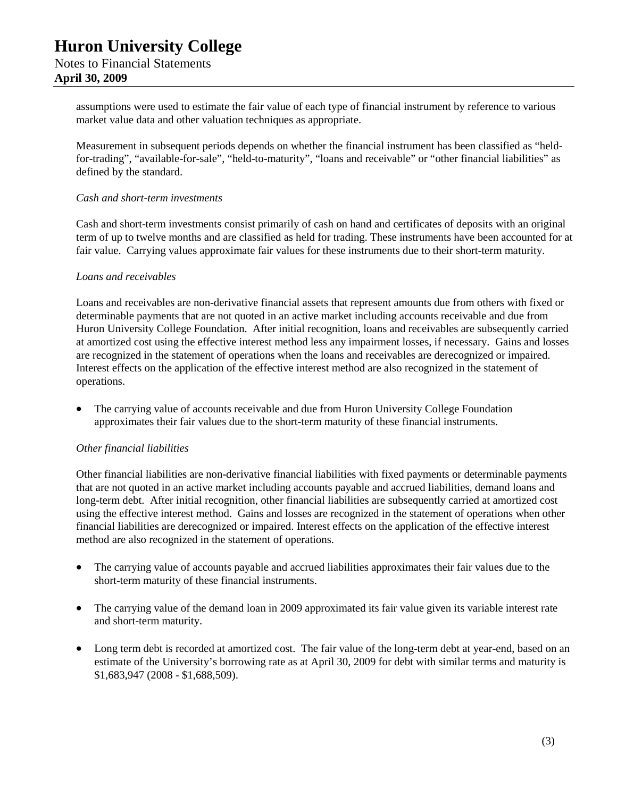assumptions were used to estimate the fair value of each type of financial instrument by reference to various market value data and other valuation techniques as appropriate.

Measurement in subsequent periods depends on whether the financial instrument has been classified as "heldfor-trading", "available-for-sale", "held-to-maturity", "loans and receivable" or "other financial liabilities" as defined by the standard.

#### *Cash and short-term investments*

Cash and short-term investments consist primarily of cash on hand and certificates of deposits with an original term of up to twelve months and are classified as held for trading. These instruments have been accounted for at fair value. Carrying values approximate fair values for these instruments due to their short-term maturity.

#### *Loans and receivables*

Loans and receivables are non-derivative financial assets that represent amounts due from others with fixed or determinable payments that are not quoted in an active market including accounts receivable and due from Huron University College Foundation. After initial recognition, loans and receivables are subsequently carried at amortized cost using the effective interest method less any impairment losses, if necessary. Gains and losses are recognized in the statement of operations when the loans and receivables are derecognized or impaired. Interest effects on the application of the effective interest method are also recognized in the statement of operations.

 The carrying value of accounts receivable and due from Huron University College Foundation approximates their fair values due to the short-term maturity of these financial instruments.

### *Other financial liabilities*

Other financial liabilities are non-derivative financial liabilities with fixed payments or determinable payments that are not quoted in an active market including accounts payable and accrued liabilities, demand loans and long-term debt. After initial recognition, other financial liabilities are subsequently carried at amortized cost using the effective interest method. Gains and losses are recognized in the statement of operations when other financial liabilities are derecognized or impaired. Interest effects on the application of the effective interest method are also recognized in the statement of operations.

- The carrying value of accounts payable and accrued liabilities approximates their fair values due to the short-term maturity of these financial instruments.
- The carrying value of the demand loan in 2009 approximated its fair value given its variable interest rate and short-term maturity.
- Long term debt is recorded at amortized cost. The fair value of the long-term debt at year-end, based on an estimate of the University's borrowing rate as at April 30, 2009 for debt with similar terms and maturity is \$1,683,947 (2008 - \$1,688,509).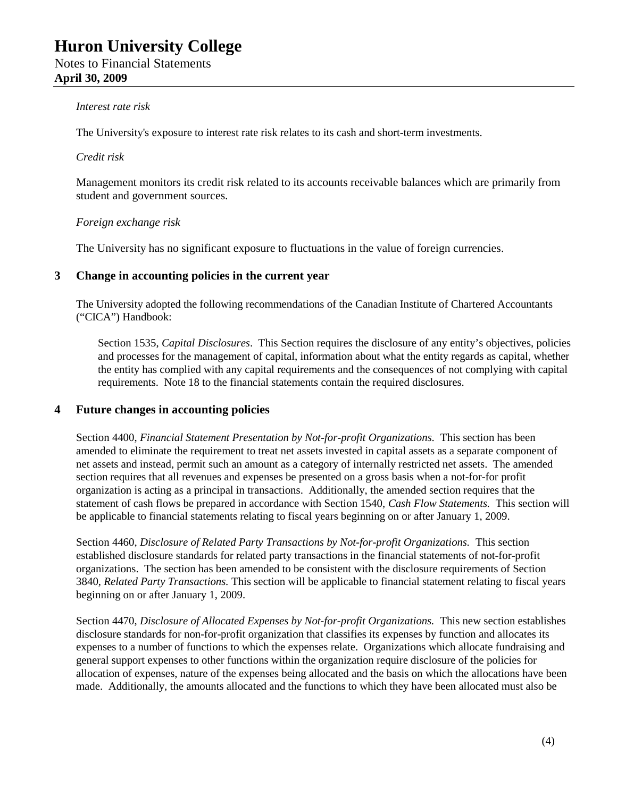### *Interest rate risk*

The University's exposure to interest rate risk relates to its cash and short-term investments.

#### *Credit risk*

Management monitors its credit risk related to its accounts receivable balances which are primarily from student and government sources.

### *Foreign exchange risk*

The University has no significant exposure to fluctuations in the value of foreign currencies*.*

### **3 Change in accounting policies in the current year**

The University adopted the following recommendations of the Canadian Institute of Chartered Accountants ("CICA") Handbook:

Section 1535, *Capital Disclosures*. This Section requires the disclosure of any entity's objectives, policies and processes for the management of capital, information about what the entity regards as capital, whether the entity has complied with any capital requirements and the consequences of not complying with capital requirements. Note 18 to the financial statements contain the required disclosures.

### **4 Future changes in accounting policies**

Section 4400, *Financial Statement Presentation by Not-for-profit Organizations.* This section has been amended to eliminate the requirement to treat net assets invested in capital assets as a separate component of net assets and instead, permit such an amount as a category of internally restricted net assets. The amended section requires that all revenues and expenses be presented on a gross basis when a not-for-for profit organization is acting as a principal in transactions. Additionally, the amended section requires that the statement of cash flows be prepared in accordance with Section 1540, *Cash Flow Statements.* This section will be applicable to financial statements relating to fiscal years beginning on or after January 1, 2009.

Section 4460, *Disclosure of Related Party Transactions by Not-for-profit Organizations.* This section established disclosure standards for related party transactions in the financial statements of not-for-profit organizations. The section has been amended to be consistent with the disclosure requirements of Section 3840, *Related Party Transactions.* This section will be applicable to financial statement relating to fiscal years beginning on or after January 1, 2009.

Section 4470, *Disclosure of Allocated Expenses by Not-for-profit Organizations.* This new section establishes disclosure standards for non-for-profit organization that classifies its expenses by function and allocates its expenses to a number of functions to which the expenses relate. Organizations which allocate fundraising and general support expenses to other functions within the organization require disclosure of the policies for allocation of expenses, nature of the expenses being allocated and the basis on which the allocations have been made. Additionally, the amounts allocated and the functions to which they have been allocated must also be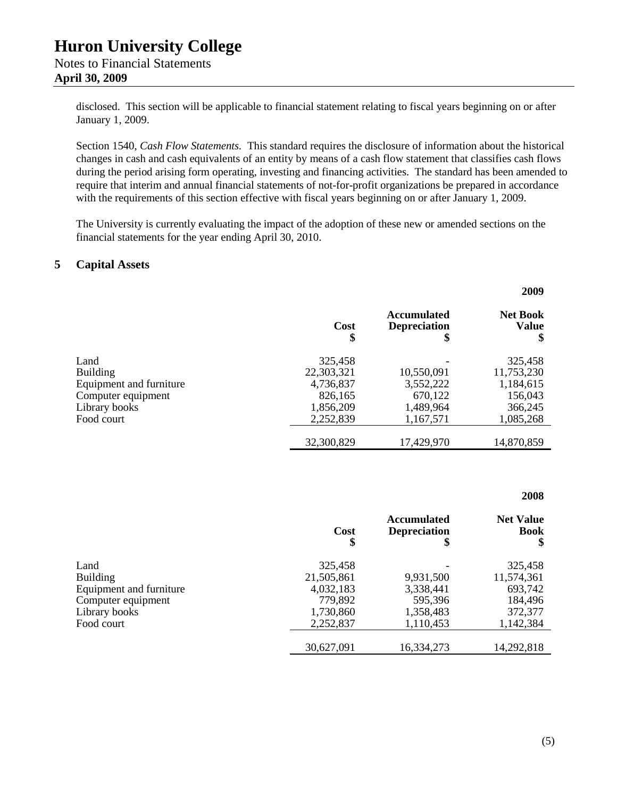> disclosed. This section will be applicable to financial statement relating to fiscal years beginning on or after January 1, 2009.

Section 1540, *Cash Flow Statements.* This standard requires the disclosure of information about the historical changes in cash and cash equivalents of an entity by means of a cash flow statement that classifies cash flows during the period arising form operating, investing and financing activities. The standard has been amended to require that interim and annual financial statements of not-for-profit organizations be prepared in accordance with the requirements of this section effective with fiscal years beginning on or after January 1, 2009.

The University is currently evaluating the impact of the adoption of these new or amended sections on the financial statements for the year ending April 30, 2010.

## **5 Capital Assets**

|                         | Cost<br>\$ | <b>Accumulated</b><br><b>Depreciation</b><br>\$ | <b>Net Book</b><br><b>Value</b><br>\$ |
|-------------------------|------------|-------------------------------------------------|---------------------------------------|
| Land                    | 325,458    |                                                 | 325,458                               |
| <b>Building</b>         | 22,303,321 | 10,550,091                                      | 11,753,230                            |
| Equipment and furniture | 4,736,837  | 3,552,222                                       | 1,184,615                             |
| Computer equipment      | 826,165    | 670,122                                         | 156,043                               |
| Library books           | 1,856,209  | 1,489,964                                       | 366,245                               |
| Food court              | 2,252,839  | 1,167,571                                       | 1,085,268                             |
|                         | 32,300,829 | 17,429,970                                      | 14,870,859                            |

#### **2008**

|                         | Cost<br>\$ | <b>Accumulated</b><br><b>Depreciation</b><br>\$ | <b>Net Value</b><br><b>Book</b><br>\$ |
|-------------------------|------------|-------------------------------------------------|---------------------------------------|
| Land                    | 325,458    |                                                 | 325,458                               |
| <b>Building</b>         | 21,505,861 | 9,931,500                                       | 11,574,361                            |
| Equipment and furniture | 4,032,183  | 3,338,441                                       | 693,742                               |
| Computer equipment      | 779,892    | 595,396                                         | 184,496                               |
| Library books           | 1,730,860  | 1,358,483                                       | 372,377                               |
| Food court              | 2,252,837  | 1,110,453                                       | 1,142,384                             |
|                         | 30,627,091 | 16,334,273                                      | 14,292,818                            |

**2009**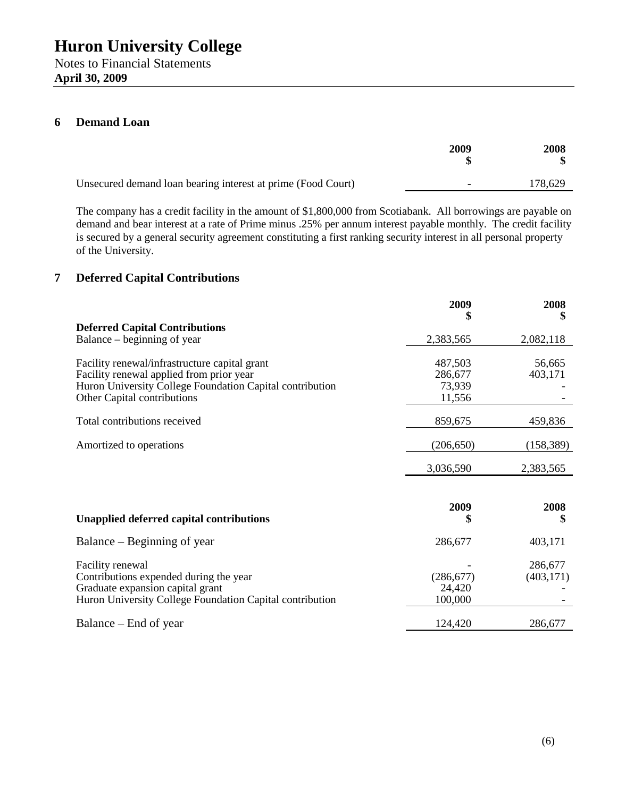## **6 Demand Loan**

|                                                              | 2009 | 2008    |
|--------------------------------------------------------------|------|---------|
| Unsecured demand loan bearing interest at prime (Food Court) | -    | 178,629 |

The company has a credit facility in the amount of \$1,800,000 from Scotiabank. All borrowings are payable on demand and bear interest at a rate of Prime minus .25% per annum interest payable monthly. The credit facility is secured by a general security agreement constituting a first ranking security interest in all personal property of the University.

## **7 Deferred Capital Contributions**

|                                                                                              | 2009<br>\$           | 2008<br>\$ |
|----------------------------------------------------------------------------------------------|----------------------|------------|
| <b>Deferred Capital Contributions</b>                                                        |                      |            |
| Balance – beginning of year                                                                  | 2,383,565            | 2,082,118  |
| Facility renewal/infrastructure capital grant                                                | 487,503              | 56,665     |
| Facility renewal applied from prior year                                                     | 286,677              | 403,171    |
| Huron University College Foundation Capital contribution                                     | 73,939               |            |
| Other Capital contributions                                                                  | 11,556               |            |
|                                                                                              |                      |            |
| Total contributions received                                                                 | 859,675              | 459,836    |
|                                                                                              |                      |            |
| Amortized to operations                                                                      | (206, 650)           | (158, 389) |
|                                                                                              |                      |            |
|                                                                                              | 3,036,590            | 2,383,565  |
|                                                                                              |                      |            |
|                                                                                              | 2009                 | 2008       |
| <b>Unapplied deferred capital contributions</b>                                              | \$                   | \$         |
| Balance – Beginning of year                                                                  | 286,677              | 403,171    |
|                                                                                              |                      |            |
| Facility renewal                                                                             |                      | 286,677    |
| Contributions expended during the year                                                       | (286, 677)<br>24,420 | (403, 171) |
| Graduate expansion capital grant<br>Huron University College Foundation Capital contribution | 100,000              |            |
|                                                                                              |                      |            |
| Balance – End of year                                                                        | 124,420              | 286,677    |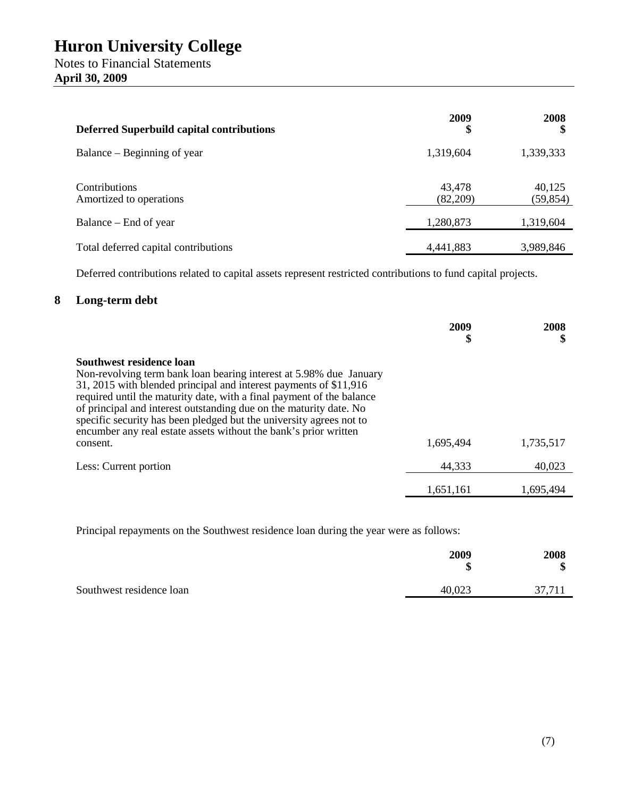| <b>Deferred Superbuild capital contributions</b> | 2009<br>\$         | 2008<br>S           |
|--------------------------------------------------|--------------------|---------------------|
| Balance – Beginning of year                      | 1,319,604          | 1,339,333           |
| Contributions<br>Amortized to operations         | 43,478<br>(82,209) | 40,125<br>(59, 854) |
| Balance – End of year                            | 1,280,873          | 1,319,604           |
| Total deferred capital contributions             | 4,441,883          | 3,989,846           |

Deferred contributions related to capital assets represent restricted contributions to fund capital projects.

## **8 Long-term debt**

|                                                                                                                                                                                                                                                                                                                                                                                                                                                                           | 2009<br>\$ | 2008      |
|---------------------------------------------------------------------------------------------------------------------------------------------------------------------------------------------------------------------------------------------------------------------------------------------------------------------------------------------------------------------------------------------------------------------------------------------------------------------------|------------|-----------|
| Southwest residence loan<br>Non-revolving term bank loan bearing interest at 5.98% due January<br>31, 2015 with blended principal and interest payments of \$11,916<br>required until the maturity date, with a final payment of the balance<br>of principal and interest outstanding due on the maturity date. No<br>specific security has been pledged but the university agrees not to<br>encumber any real estate assets without the bank's prior written<br>consent. | 1,695,494  | 1,735,517 |
| Less: Current portion                                                                                                                                                                                                                                                                                                                                                                                                                                                     | 44,333     | 40,023    |
|                                                                                                                                                                                                                                                                                                                                                                                                                                                                           | 1,651,161  | 1.695.494 |

Principal repayments on the Southwest residence loan during the year were as follows:

|                          | 2009<br>Φ<br>٨D | 2008<br>Φ<br>۰D |
|--------------------------|-----------------|-----------------|
| Southwest residence loan | 40,023          | 37 711          |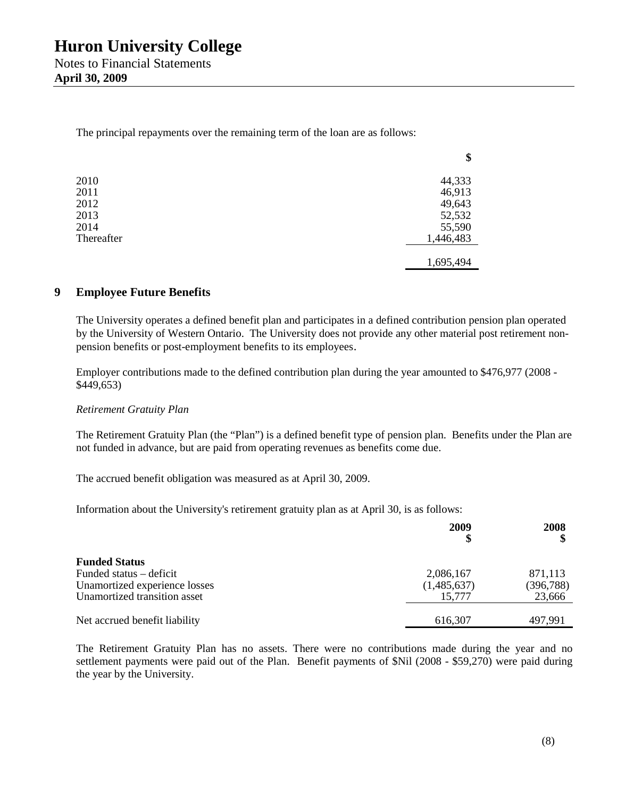The principal repayments over the remaining term of the loan are as follows:

|            | Φ         |
|------------|-----------|
| 2010       | 44,333    |
| 2011       | 46,913    |
| 2012       | 49,643    |
| 2013       | 52,532    |
| 2014       | 55,590    |
| Thereafter | 1,446,483 |
|            |           |
|            | 1,695,494 |

## **9 Employee Future Benefits**

The University operates a defined benefit plan and participates in a defined contribution pension plan operated by the University of Western Ontario. The University does not provide any other material post retirement nonpension benefits or post-employment benefits to its employees.

**\$**

Employer contributions made to the defined contribution plan during the year amounted to \$476,977 (2008 - \$449,653)

### *Retirement Gratuity Plan*

The Retirement Gratuity Plan (the "Plan") is a defined benefit type of pension plan. Benefits under the Plan are not funded in advance, but are paid from operating revenues as benefits come due.

The accrued benefit obligation was measured as at April 30, 2009.

Information about the University's retirement gratuity plan as at April 30, is as follows:

|                               | 2009<br>\$  | 2008       |
|-------------------------------|-------------|------------|
| <b>Funded Status</b>          |             |            |
| Funded status – deficit       | 2,086,167   | 871,113    |
| Unamortized experience losses | (1,485,637) | (396, 788) |
| Unamortized transition asset  | 15.777      | 23,666     |
|                               |             |            |
| Net accrued benefit liability | 616,307     | 497.991    |

The Retirement Gratuity Plan has no assets. There were no contributions made during the year and no settlement payments were paid out of the Plan. Benefit payments of \$Nil (2008 - \$59,270) were paid during the year by the University.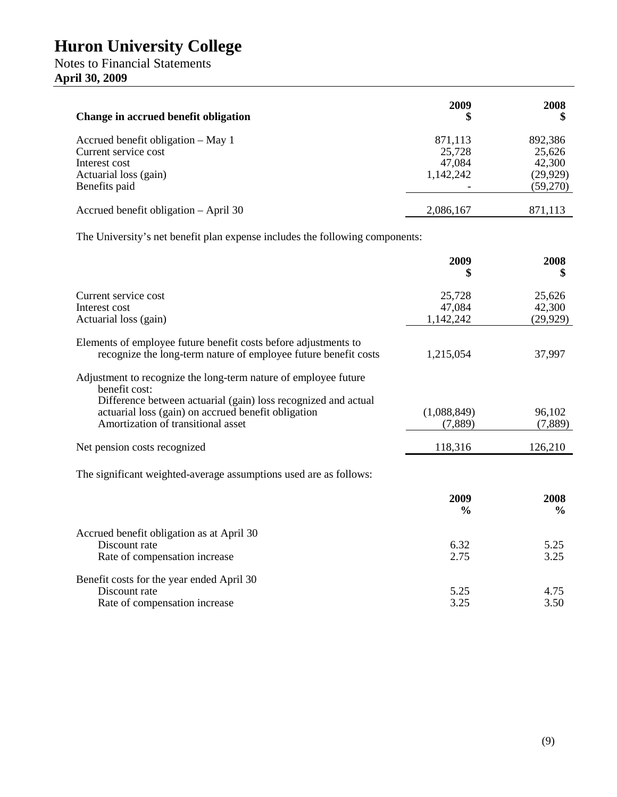## Notes to Financial Statements **April 30, 2009**

| Change in accrued benefit obligation                                                                                  | 2009<br>\$                               | 2008                                                 |
|-----------------------------------------------------------------------------------------------------------------------|------------------------------------------|------------------------------------------------------|
| Accrued benefit obligation – May 1<br>Current service cost<br>Interest cost<br>Actuarial loss (gain)<br>Benefits paid | 871,113<br>25,728<br>47,084<br>1,142,242 | 892,386<br>25,626<br>42,300<br>(29, 929)<br>(59,270) |
| Accrued benefit obligation – April 30                                                                                 | 2,086,167                                | 871,113                                              |

The University's net benefit plan expense includes the following components:

|                                                                                                                                    | 2009                | 2008                |
|------------------------------------------------------------------------------------------------------------------------------------|---------------------|---------------------|
| Current service cost                                                                                                               | 25,728              | 25,626              |
| Interest cost<br>Actuarial loss (gain)                                                                                             | 47,084<br>1,142,242 | 42,300<br>(29, 929) |
|                                                                                                                                    |                     |                     |
| Elements of employee future benefit costs before adjustments to<br>recognize the long-term nature of employee future benefit costs | 1,215,054           | 37,997              |
| Adjustment to recognize the long-term nature of employee future<br>benefit cost:                                                   |                     |                     |
| Difference between actuarial (gain) loss recognized and actual<br>actuarial loss (gain) on accrued benefit obligation              | (1,088,849)         | 96,102              |
| Amortization of transitional asset                                                                                                 | (7,889)             | (7,889)             |
| Net pension costs recognized                                                                                                       | 118,316             | 126,210             |
| The significant weighted-average assumptions used are as follows:                                                                  |                     |                     |
|                                                                                                                                    | 2009                | 2008                |
|                                                                                                                                    | $\frac{0}{0}$       | $\frac{6}{9}$       |
| Accrued benefit obligation as at April 30                                                                                          |                     |                     |
| Discount rate                                                                                                                      | 6.32                | 5.25                |
| Rate of compensation increase                                                                                                      | 2.75                | 3.25                |
| Benefit costs for the year ended April 30                                                                                          |                     |                     |
| Discount rate                                                                                                                      | 5.25                | 4.75                |
| Rate of compensation increase                                                                                                      | 3.25                | 3.50                |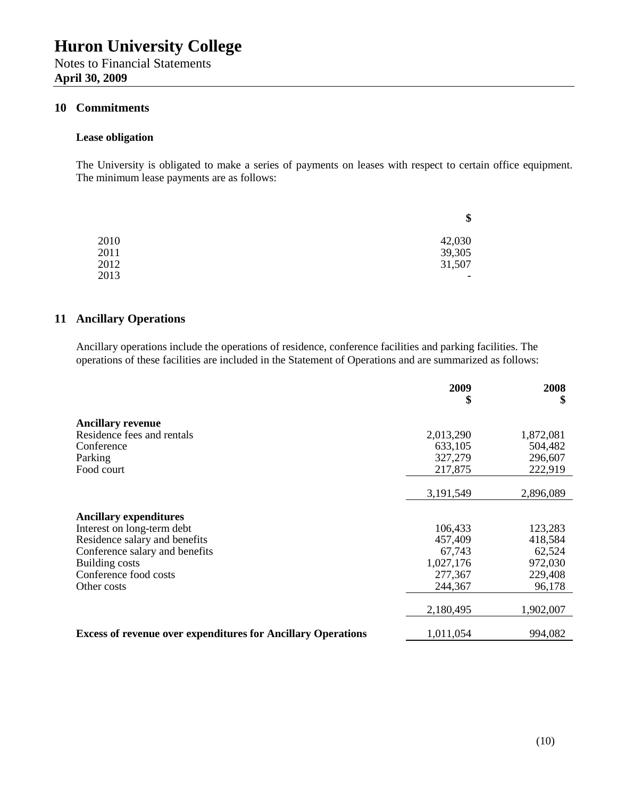## **10 Commitments**

#### **Lease obligation**

The University is obligated to make a series of payments on leases with respect to certain office equipment. The minimum lease payments are as follows:

|      | \$                       |
|------|--------------------------|
| 2010 | 42,030                   |
| 2011 | 39,305                   |
| 2012 | 31,507                   |
| 2013 | $\overline{\phantom{a}}$ |

## **11 Ancillary Operations**

Ancillary operations include the operations of residence, conference facilities and parking facilities. The operations of these facilities are included in the Statement of Operations and are summarized as follows:

|                                                                     | 2009<br>\$ | 2008<br>\$ |
|---------------------------------------------------------------------|------------|------------|
| <b>Ancillary revenue</b>                                            |            |            |
| Residence fees and rentals                                          | 2,013,290  | 1,872,081  |
| Conference                                                          | 633,105    | 504,482    |
| Parking                                                             | 327,279    | 296,607    |
| Food court                                                          | 217,875    | 222,919    |
|                                                                     |            |            |
|                                                                     | 3,191,549  | 2,896,089  |
|                                                                     |            |            |
| <b>Ancillary expenditures</b>                                       |            |            |
| Interest on long-term debt                                          | 106,433    | 123,283    |
| Residence salary and benefits                                       | 457,409    | 418,584    |
| Conference salary and benefits                                      | 67,743     | 62,524     |
| <b>Building costs</b>                                               | 1,027,176  | 972,030    |
| Conference food costs                                               | 277,367    | 229,408    |
| Other costs                                                         | 244,367    | 96,178     |
|                                                                     |            |            |
|                                                                     | 2,180,495  | 1,902,007  |
| <b>Excess of revenue over expenditures for Ancillary Operations</b> | 1,011,054  | 994,082    |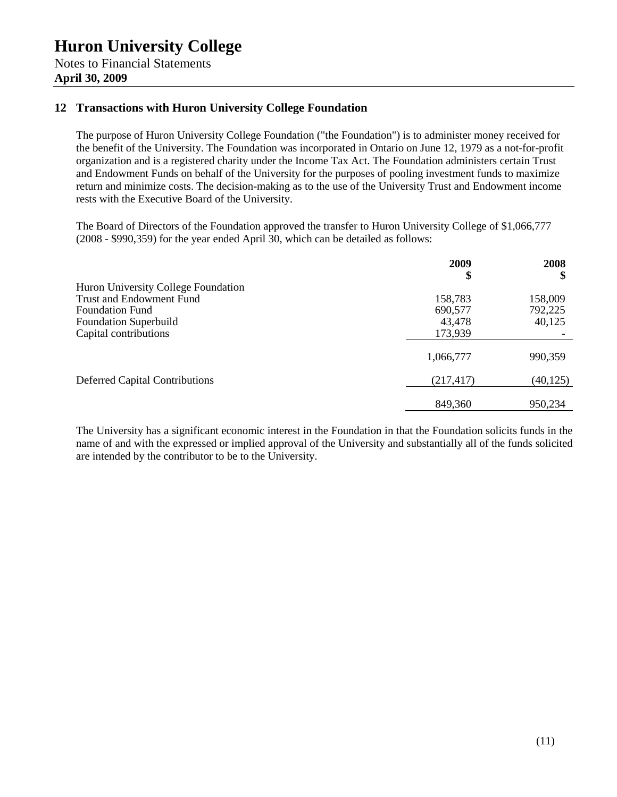## **12 Transactions with Huron University College Foundation**

The purpose of Huron University College Foundation ("the Foundation") is to administer money received for the benefit of the University. The Foundation was incorporated in Ontario on June 12, 1979 as a not-for-profit organization and is a registered charity under the Income Tax Act. The Foundation administers certain Trust and Endowment Funds on behalf of the University for the purposes of pooling investment funds to maximize return and minimize costs. The decision-making as to the use of the University Trust and Endowment income rests with the Executive Board of the University.

The Board of Directors of the Foundation approved the transfer to Huron University College of \$1,066,777 (2008 - \$990,359) for the year ended April 30, which can be detailed as follows:

|                                       | 2009<br>\$ | 2008<br>\$ |
|---------------------------------------|------------|------------|
| Huron University College Foundation   |            |            |
| <b>Trust and Endowment Fund</b>       | 158,783    | 158,009    |
| <b>Foundation Fund</b>                | 690,577    | 792,225    |
| <b>Foundation Superbuild</b>          | 43,478     | 40,125     |
| Capital contributions                 | 173,939    |            |
|                                       | 1,066,777  | 990,359    |
| <b>Deferred Capital Contributions</b> | (217, 417) | (40, 125)  |
|                                       | 849,360    | 950,234    |

The University has a significant economic interest in the Foundation in that the Foundation solicits funds in the name of and with the expressed or implied approval of the University and substantially all of the funds solicited are intended by the contributor to be to the University.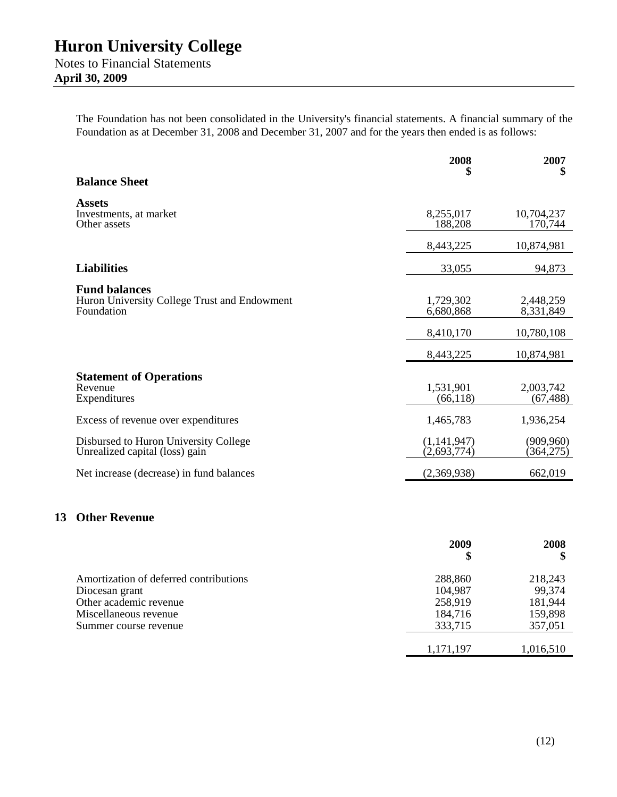**April 30, 2009**

The Foundation has not been consolidated in the University's financial statements. A financial summary of the Foundation as at December 31, 2008 and December 31, 2007 and for the years then ended is as follows:

|                                                                                    | 2008                       | 2007                    |
|------------------------------------------------------------------------------------|----------------------------|-------------------------|
| <b>Balance Sheet</b>                                                               | \$                         | \$                      |
| <b>Assets</b><br>Investments, at market<br>Other assets                            | 8,255,017<br>188,208       | 10,704,237<br>170,744   |
|                                                                                    | 8,443,225                  | 10,874,981              |
| <b>Liabilities</b>                                                                 | 33,055                     | 94,873                  |
| <b>Fund balances</b><br>Huron University College Trust and Endowment<br>Foundation | 1,729,302<br>6,680,868     | 2,448,259<br>8,331,849  |
|                                                                                    | 8,410,170                  | 10,780,108              |
|                                                                                    | 8,443,225                  | 10,874,981              |
| <b>Statement of Operations</b><br>Revenue<br>Expenditures                          | 1,531,901<br>(66, 118)     | 2,003,742<br>(67, 488)  |
| Excess of revenue over expenditures                                                | 1,465,783                  | 1,936,254               |
| Disbursed to Huron University College<br>Unrealized capital (loss) gain            | (1,141,947)<br>(2,693,774) | (909, 960)<br>(364,275) |
| Net increase (decrease) in fund balances                                           | (2,369,938)                | 662,019                 |

## **13 Other Revenue**

| 2009      | 2008<br>\$ |
|-----------|------------|
| 288,860   | 218,243    |
| 104,987   | 99,374     |
| 258,919   | 181,944    |
| 184,716   | 159,898    |
| 333,715   | 357,051    |
|           |            |
| 1,171,197 | 1,016,510  |
|           |            |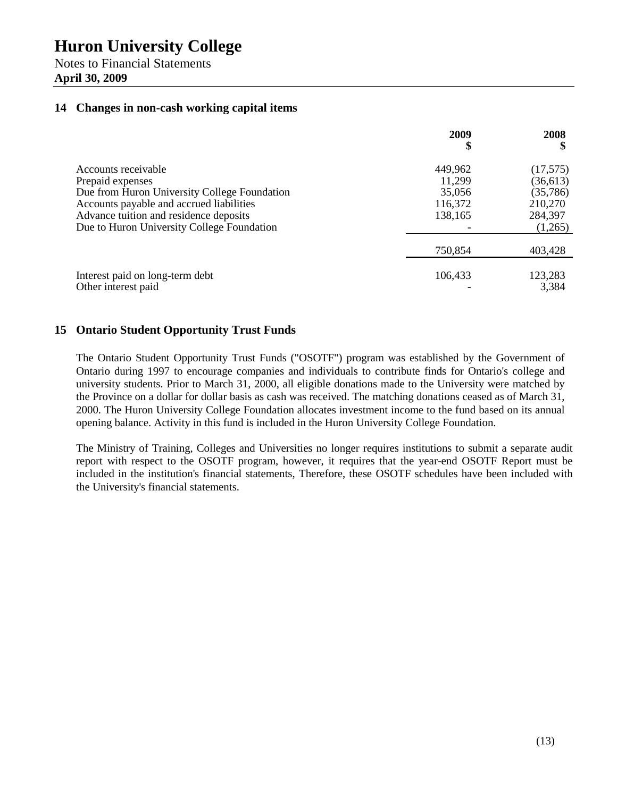Notes to Financial Statements **April 30, 2009**

## **14 Changes in non-cash working capital items**

|                                                                                                                                                                                                                             | 2009<br>\$                                        | 2008                                                                |
|-----------------------------------------------------------------------------------------------------------------------------------------------------------------------------------------------------------------------------|---------------------------------------------------|---------------------------------------------------------------------|
| Accounts receivable<br>Prepaid expenses<br>Due from Huron University College Foundation<br>Accounts payable and accrued liabilities<br>Advance tuition and residence deposits<br>Due to Huron University College Foundation | 449,962<br>11,299<br>35,056<br>116,372<br>138,165 | (17,575)<br>(36, 613)<br>(35, 786)<br>210,270<br>284,397<br>(1,265) |
|                                                                                                                                                                                                                             | 750,854                                           | 403,428                                                             |
| Interest paid on long-term debt<br>Other interest paid                                                                                                                                                                      | 106,433                                           | 123,283<br>3,384                                                    |

### **15 Ontario Student Opportunity Trust Funds**

The Ontario Student Opportunity Trust Funds ("OSOTF") program was established by the Government of Ontario during 1997 to encourage companies and individuals to contribute finds for Ontario's college and university students. Prior to March 31, 2000, all eligible donations made to the University were matched by the Province on a dollar for dollar basis as cash was received. The matching donations ceased as of March 31, 2000. The Huron University College Foundation allocates investment income to the fund based on its annual opening balance. Activity in this fund is included in the Huron University College Foundation.

The Ministry of Training, Colleges and Universities no longer requires institutions to submit a separate audit report with respect to the OSOTF program, however, it requires that the year-end OSOTF Report must be included in the institution's financial statements, Therefore, these OSOTF schedules have been included with the University's financial statements.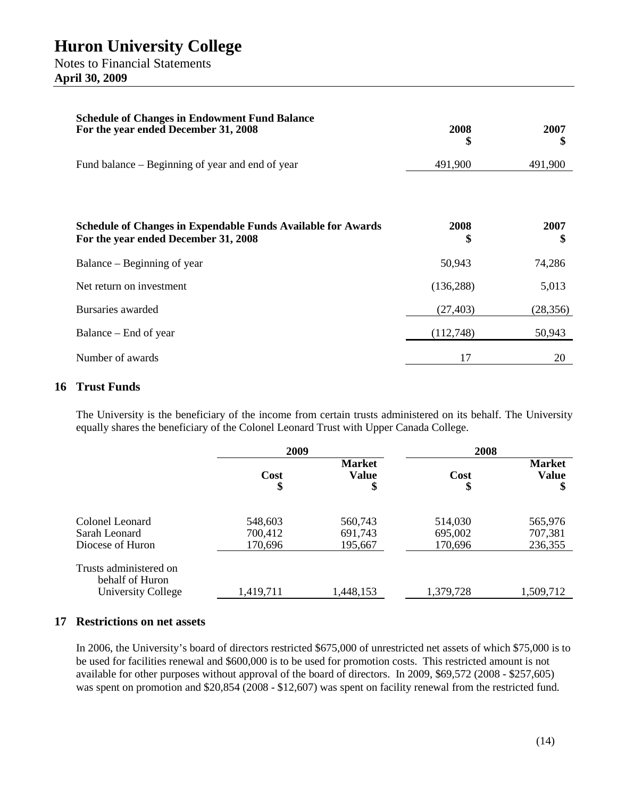| <b>Schedule of Changes in Endowment Fund Balance</b><br>For the year ended December 31, 2008                | 2008<br>\$ | 2007<br>\$ |
|-------------------------------------------------------------------------------------------------------------|------------|------------|
| Fund balance – Beginning of year and end of year                                                            | 491,900    | 491,900    |
|                                                                                                             |            |            |
| <b>Schedule of Changes in Expendable Funds Available for Awards</b><br>For the year ended December 31, 2008 | 2008<br>\$ | 2007<br>\$ |
| Balance – Beginning of year                                                                                 | 50,943     | 74,286     |
| Net return on investment                                                                                    | (136, 288) | 5,013      |
| Bursaries awarded                                                                                           | (27, 403)  | (28, 356)  |
| Balance – End of year                                                                                       | (112,748)  | 50,943     |
| Number of awards                                                                                            | 17         | 20         |

## **16 Trust Funds**

The University is the beneficiary of the income from certain trusts administered on its behalf. The University equally shares the beneficiary of the Colonel Leonard Trust with Upper Canada College.

|                                                                 | 2009                          |                                     | 2008                          |                                     |
|-----------------------------------------------------------------|-------------------------------|-------------------------------------|-------------------------------|-------------------------------------|
|                                                                 | Cost<br>\$                    | <b>Market</b><br><b>Value</b><br>\$ | Cost<br>\$                    | <b>Market</b><br><b>Value</b><br>\$ |
| Colonel Leonard<br>Sarah Leonard<br>Diocese of Huron            | 548,603<br>700,412<br>170,696 | 560,743<br>691,743<br>195,667       | 514,030<br>695,002<br>170,696 | 565,976<br>707,381<br>236,355       |
| Trusts administered on<br>behalf of Huron<br>University College | 1,419,711                     | 1,448,153                           | 1,379,728                     | 1,509,712                           |

## **17 Restrictions on net assets**

In 2006, the University's board of directors restricted \$675,000 of unrestricted net assets of which \$75,000 is to be used for facilities renewal and \$600,000 is to be used for promotion costs. This restricted amount is not available for other purposes without approval of the board of directors. In 2009, \$69,572 (2008 - \$257,605) was spent on promotion and \$20,854 (2008 - \$12,607) was spent on facility renewal from the restricted fund.